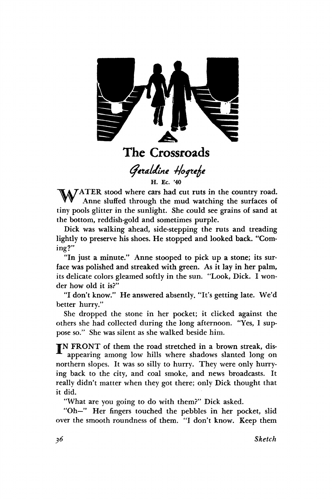

**The Crossroads** 

Geraldine Hogrefe

**H. Ec. '40** 

MATER stood where cars had cut ruts in the country road. Anne sluffed through the mud watching the surfaces of tiny pools glitter in the sunlight. She could see grains of sand at the bottom, reddish-gold and sometimes purple.

Dick was walking ahead, side-stepping the ruts and treading lightly to preserve his shoes. He stopped and looked back. "Coming?"

"In just a minute." Anne stooped to pick up a stone; its surface was polished and streaked with green. As it lay in her palm, its delicate colors gleamed softly in the sun. "Look, Dick. I wonder how old it is?"

"I don't know." He answered absently. "It's getting late. We'd better hurry."

She dropped the stone in her pocket; it clicked against the others she had collected during the long afternoon. "Yes, I suppose so." She was silent as she walked beside him.

TN FRONT of them the road stretched in a brown streak, disappearing among low hills where shadows slanted long on northern slopes. It was so silly to hurry. They were only hurrying back to the city, and coal smoke, and news broadcasts. It really didn't matter when they got there; only Dick thought that it did.

"What are you going to do with them?" Dick asked.

"Oh—" Her fingers touched the pebbles in her pocket, slid over the smooth roundness of them. "I don't know. Keep them